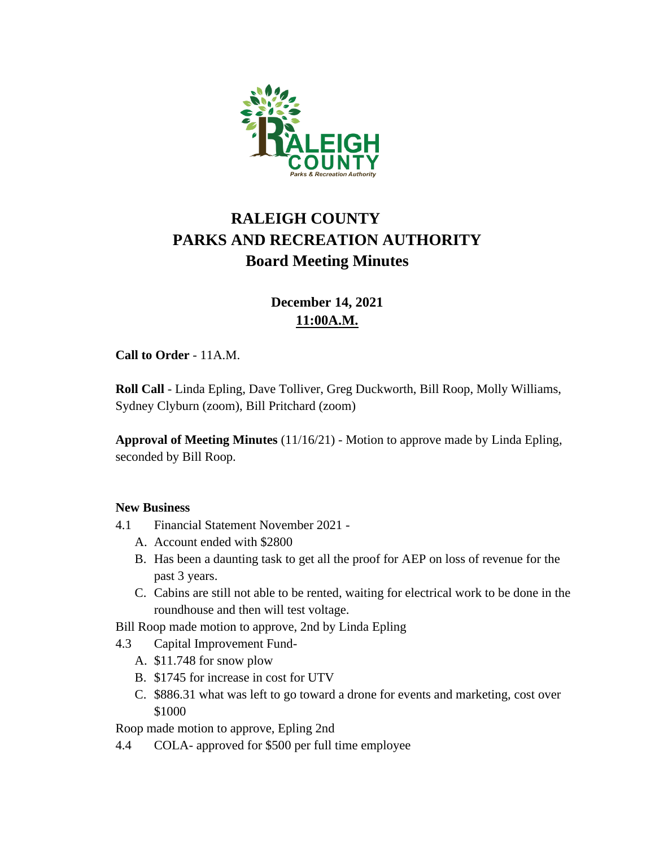

# **RALEIGH COUNTY PARKS AND RECREATION AUTHORITY Board Meeting Minutes**

## **December 14, 2021 11:00A.M.**

#### **Call to Order** - 11A.M.

**Roll Call** - Linda Epling, Dave Tolliver, Greg Duckworth, Bill Roop, Molly Williams, Sydney Clyburn (zoom), Bill Pritchard (zoom)

**Approval of Meeting Minutes** (11/16/21) - Motion to approve made by Linda Epling, seconded by Bill Roop.

#### **New Business**

- 4.1 Financial Statement November 2021
	- A. Account ended with \$2800
	- B. Has been a daunting task to get all the proof for AEP on loss of revenue for the past 3 years.
	- C. Cabins are still not able to be rented, waiting for electrical work to be done in the roundhouse and then will test voltage.
- Bill Roop made motion to approve, 2nd by Linda Epling
- 4.3 Capital Improvement Fund-
	- A. \$11.748 for snow plow
	- B. \$1745 for increase in cost for UTV
	- C. \$886.31 what was left to go toward a drone for events and marketing, cost over \$1000

Roop made motion to approve, Epling 2nd

4.4 COLA- approved for \$500 per full time employee